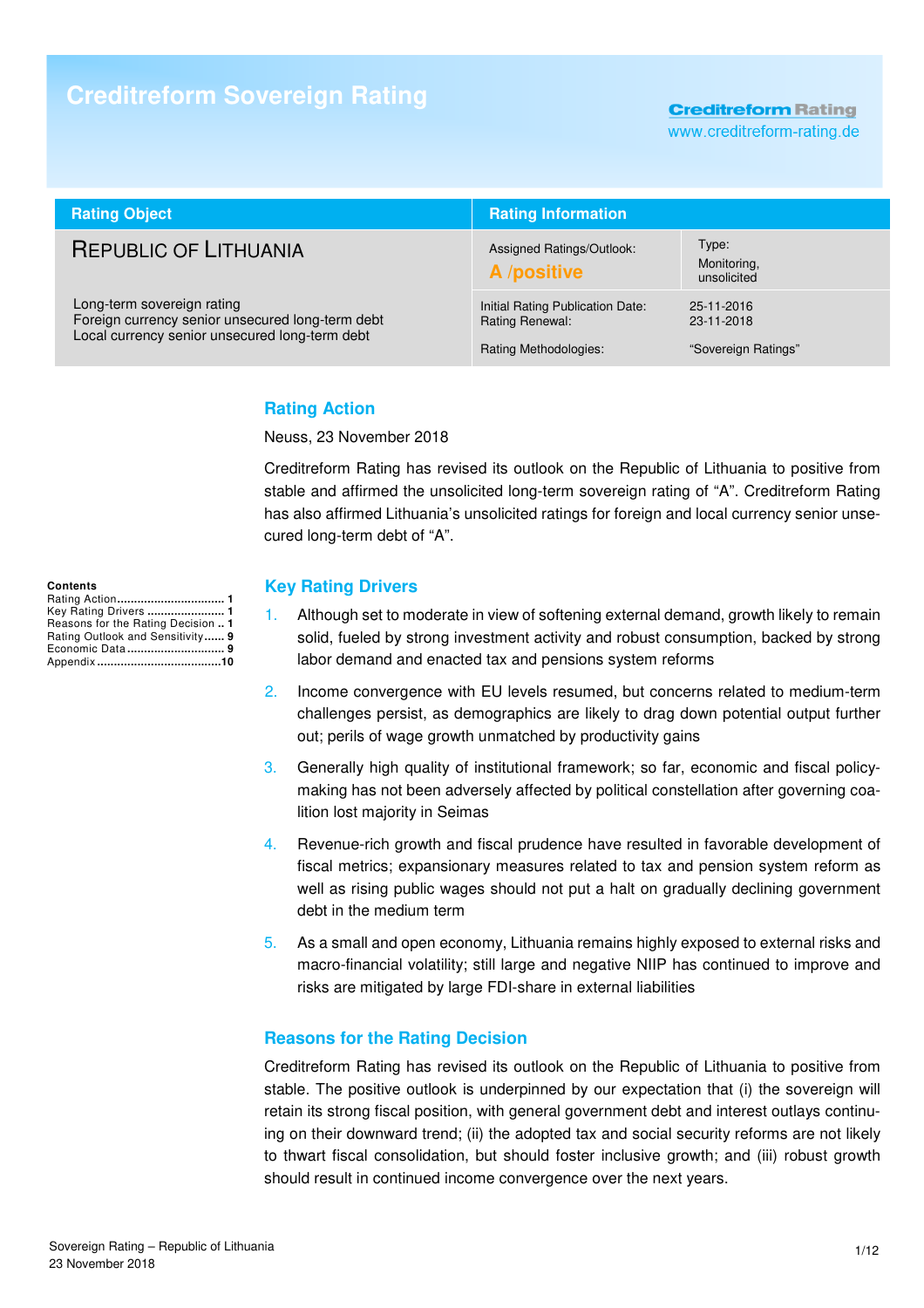# **Creditreform Sovereign Rating**

**Creditreform Rating** 

www.creditreform-rating.de

| <b>Rating Object</b>                                                                                                             | <b>Rating Information</b>                                                    |                                                 |  |
|----------------------------------------------------------------------------------------------------------------------------------|------------------------------------------------------------------------------|-------------------------------------------------|--|
| <b>REPUBLIC OF LITHUANIA</b>                                                                                                     | Assigned Ratings/Outlook:<br>A /positive                                     | Type:<br>Monitoring,<br>unsolicited             |  |
| Long-term sovereign rating<br>Foreign currency senior unsecured long-term debt<br>Local currency senior unsecured long-term debt | Initial Rating Publication Date:<br>Rating Renewal:<br>Rating Methodologies: | 25-11-2016<br>23-11-2018<br>"Sovereign Ratings" |  |

## **Rating Action**

Neuss, 23 November 2018

Creditreform Rating has revised its outlook on the Republic of Lithuania to positive from stable and affirmed the unsolicited long-term sovereign rating of "A". Creditreform Rating has also affirmed Lithuania's unsolicited ratings for foreign and local currency senior unsecured long-term debt of "A".

### **Key Rating Drivers**

- 1. Although set to moderate in view of softening external demand, growth likely to remain solid, fueled by strong investment activity and robust consumption, backed by strong labor demand and enacted tax and pensions system reforms
- 2. Income convergence with EU levels resumed, but concerns related to medium-term challenges persist, as demographics are likely to drag down potential output further out; perils of wage growth unmatched by productivity gains
- 3. Generally high quality of institutional framework; so far, economic and fiscal policymaking has not been adversely affected by political constellation after governing coalition lost majority in Seimas
- 4. Revenue-rich growth and fiscal prudence have resulted in favorable development of fiscal metrics; expansionary measures related to tax and pension system reform as well as rising public wages should not put a halt on gradually declining government debt in the medium term
- 5. As a small and open economy, Lithuania remains highly exposed to external risks and macro-financial volatility; still large and negative NIIP has continued to improve and risks are mitigated by large FDI-share in external liabilities

## **Reasons for the Rating Decision**

Creditreform Rating has revised its outlook on the Republic of Lithuania to positive from stable. The positive outlook is underpinned by our expectation that (i) the sovereign will retain its strong fiscal position, with general government debt and interest outlays continuing on their downward trend; (ii) the adopted tax and social security reforms are not likely to thwart fiscal consolidation, but should foster inclusive growth; and (iii) robust growth should result in continued income convergence over the next years.

**Contents**  Rating Action **................................ 1** Key Rating Drivers **....................... 1** Reasons for the Rating Decision **.. 1** Rating Outlook and Sensitivity **...... 9** Economic Data **............................. 9** Appendix **.....................................10**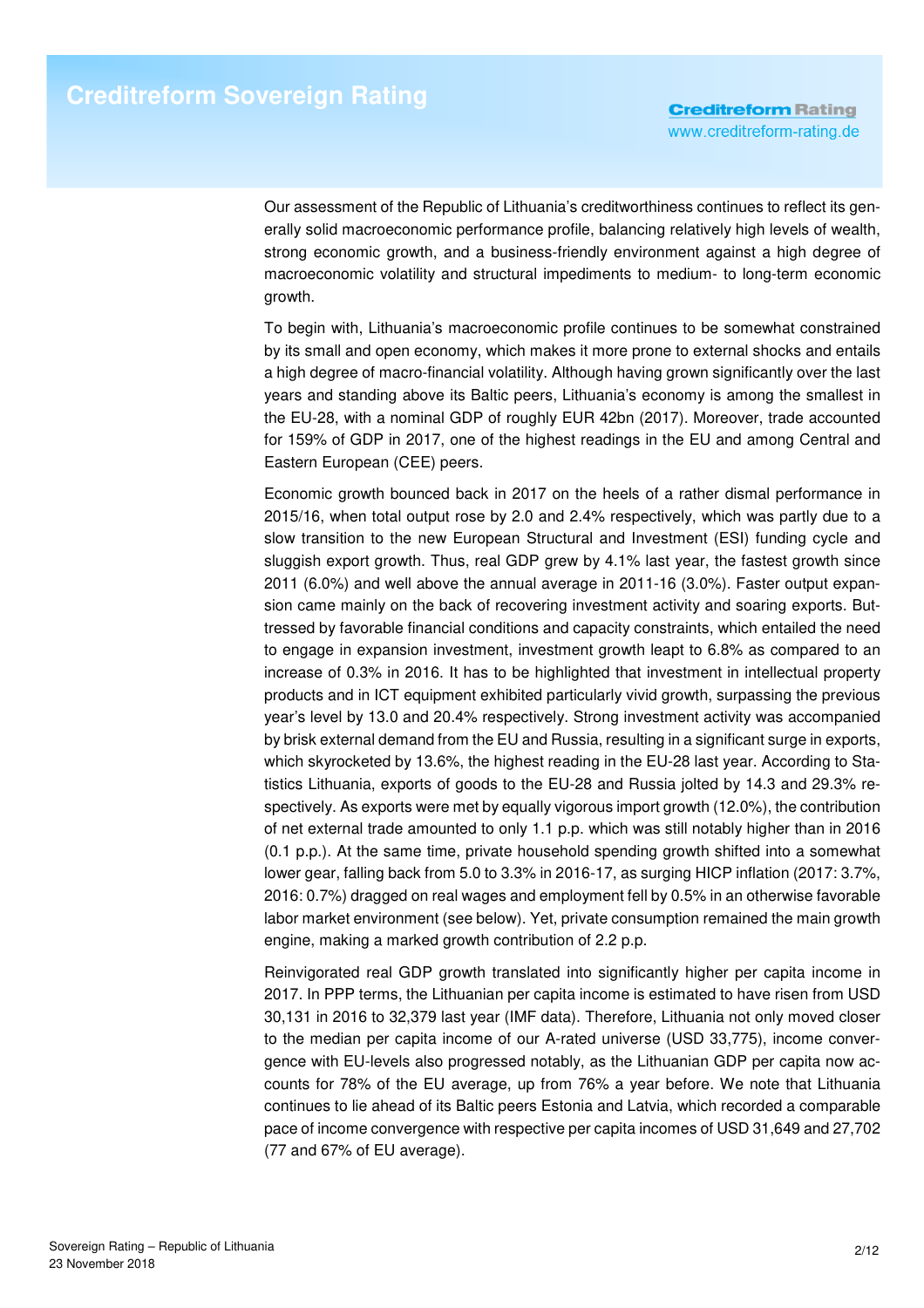Our assessment of the Republic of Lithuania's creditworthiness continues to reflect its generally solid macroeconomic performance profile, balancing relatively high levels of wealth, strong economic growth, and a business-friendly environment against a high degree of macroeconomic volatility and structural impediments to medium- to long-term economic growth.

To begin with, Lithuania's macroeconomic profile continues to be somewhat constrained by its small and open economy, which makes it more prone to external shocks and entails a high degree of macro-financial volatility. Although having grown significantly over the last years and standing above its Baltic peers, Lithuania's economy is among the smallest in the EU-28, with a nominal GDP of roughly EUR 42bn (2017). Moreover, trade accounted for 159% of GDP in 2017, one of the highest readings in the EU and among Central and Eastern European (CEE) peers.

Economic growth bounced back in 2017 on the heels of a rather dismal performance in 2015/16, when total output rose by 2.0 and 2.4% respectively, which was partly due to a slow transition to the new European Structural and Investment (ESI) funding cycle and sluggish export growth. Thus, real GDP grew by 4.1% last year, the fastest growth since 2011 (6.0%) and well above the annual average in 2011-16 (3.0%). Faster output expansion came mainly on the back of recovering investment activity and soaring exports. Buttressed by favorable financial conditions and capacity constraints, which entailed the need to engage in expansion investment, investment growth leapt to 6.8% as compared to an increase of 0.3% in 2016. It has to be highlighted that investment in intellectual property products and in ICT equipment exhibited particularly vivid growth, surpassing the previous year's level by 13.0 and 20.4% respectively. Strong investment activity was accompanied by brisk external demand from the EU and Russia, resulting in a significant surge in exports, which skyrocketed by 13.6%, the highest reading in the EU-28 last year. According to Statistics Lithuania, exports of goods to the EU-28 and Russia jolted by 14.3 and 29.3% respectively. As exports were met by equally vigorous import growth (12.0%), the contribution of net external trade amounted to only 1.1 p.p. which was still notably higher than in 2016 (0.1 p.p.). At the same time, private household spending growth shifted into a somewhat lower gear, falling back from 5.0 to 3.3% in 2016-17, as surging HICP inflation (2017: 3.7%, 2016: 0.7%) dragged on real wages and employment fell by 0.5% in an otherwise favorable labor market environment (see below). Yet, private consumption remained the main growth engine, making a marked growth contribution of 2.2 p.p.

Reinvigorated real GDP growth translated into significantly higher per capita income in 2017. In PPP terms, the Lithuanian per capita income is estimated to have risen from USD 30,131 in 2016 to 32,379 last year (IMF data). Therefore, Lithuania not only moved closer to the median per capita income of our A-rated universe (USD 33,775), income convergence with EU-levels also progressed notably, as the Lithuanian GDP per capita now accounts for 78% of the EU average, up from 76% a year before. We note that Lithuania continues to lie ahead of its Baltic peers Estonia and Latvia, which recorded a comparable pace of income convergence with respective per capita incomes of USD 31,649 and 27,702 (77 and 67% of EU average).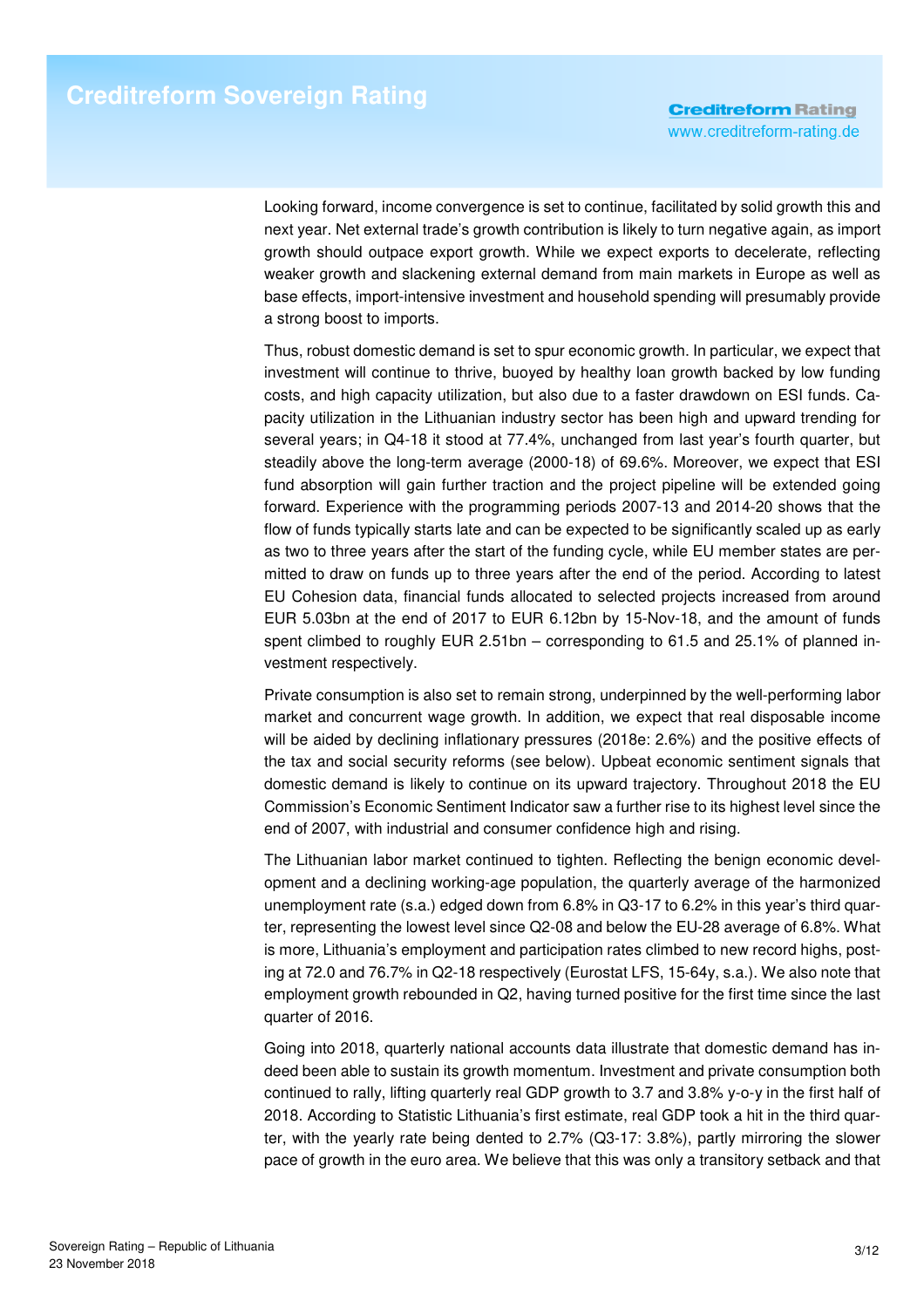Looking forward, income convergence is set to continue, facilitated by solid growth this and next year. Net external trade's growth contribution is likely to turn negative again, as import growth should outpace export growth. While we expect exports to decelerate, reflecting weaker growth and slackening external demand from main markets in Europe as well as base effects, import-intensive investment and household spending will presumably provide a strong boost to imports.

Thus, robust domestic demand is set to spur economic growth. In particular, we expect that investment will continue to thrive, buoyed by healthy loan growth backed by low funding costs, and high capacity utilization, but also due to a faster drawdown on ESI funds. Capacity utilization in the Lithuanian industry sector has been high and upward trending for several years; in Q4-18 it stood at 77.4%, unchanged from last year's fourth quarter, but steadily above the long-term average (2000-18) of 69.6%. Moreover, we expect that ESI fund absorption will gain further traction and the project pipeline will be extended going forward. Experience with the programming periods 2007-13 and 2014-20 shows that the flow of funds typically starts late and can be expected to be significantly scaled up as early as two to three years after the start of the funding cycle, while EU member states are permitted to draw on funds up to three years after the end of the period. According to latest EU Cohesion data, financial funds allocated to selected projects increased from around EUR 5.03bn at the end of 2017 to EUR 6.12bn by 15-Nov-18, and the amount of funds spent climbed to roughly EUR 2.51bn – corresponding to 61.5 and 25.1% of planned investment respectively.

Private consumption is also set to remain strong, underpinned by the well-performing labor market and concurrent wage growth. In addition, we expect that real disposable income will be aided by declining inflationary pressures (2018e: 2.6%) and the positive effects of the tax and social security reforms (see below). Upbeat economic sentiment signals that domestic demand is likely to continue on its upward trajectory. Throughout 2018 the EU Commission's Economic Sentiment Indicator saw a further rise to its highest level since the end of 2007, with industrial and consumer confidence high and rising.

The Lithuanian labor market continued to tighten. Reflecting the benign economic development and a declining working-age population, the quarterly average of the harmonized unemployment rate (s.a.) edged down from 6.8% in Q3-17 to 6.2% in this year's third quarter, representing the lowest level since Q2-08 and below the EU-28 average of 6.8%. What is more, Lithuania's employment and participation rates climbed to new record highs, posting at 72.0 and 76.7% in Q2-18 respectively (Eurostat LFS, 15-64y, s.a.). We also note that employment growth rebounded in Q2, having turned positive for the first time since the last quarter of 2016.

Going into 2018, quarterly national accounts data illustrate that domestic demand has indeed been able to sustain its growth momentum. Investment and private consumption both continued to rally, lifting quarterly real GDP growth to 3.7 and 3.8% y-o-y in the first half of 2018. According to Statistic Lithuania's first estimate, real GDP took a hit in the third quarter, with the yearly rate being dented to 2.7% (Q3-17: 3.8%), partly mirroring the slower pace of growth in the euro area. We believe that this was only a transitory setback and that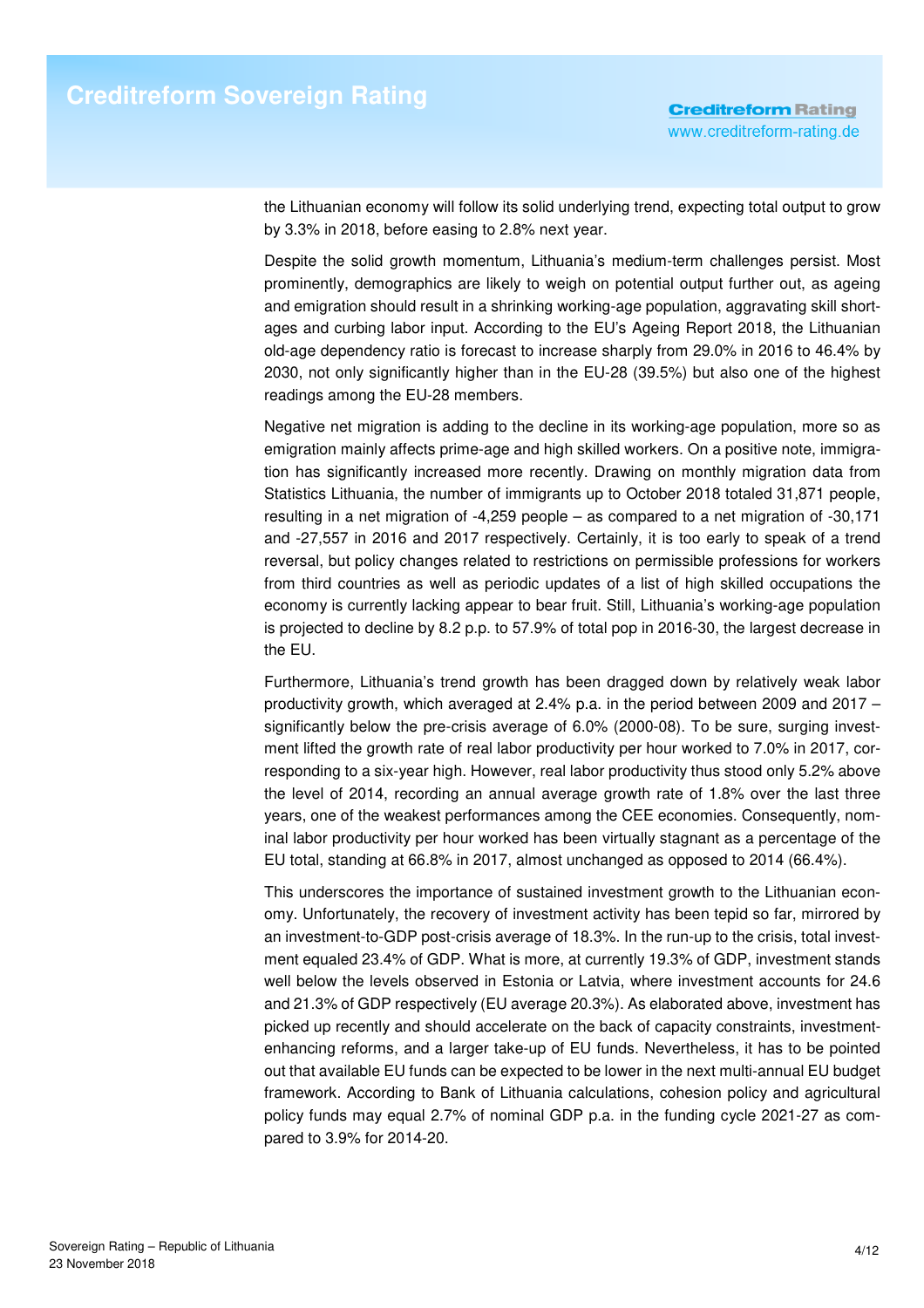the Lithuanian economy will follow its solid underlying trend, expecting total output to grow by 3.3% in 2018, before easing to 2.8% next year.

Despite the solid growth momentum, Lithuania's medium-term challenges persist. Most prominently, demographics are likely to weigh on potential output further out, as ageing and emigration should result in a shrinking working-age population, aggravating skill shortages and curbing labor input. According to the EU's Ageing Report 2018, the Lithuanian old-age dependency ratio is forecast to increase sharply from 29.0% in 2016 to 46.4% by 2030, not only significantly higher than in the EU-28 (39.5%) but also one of the highest readings among the EU-28 members.

Negative net migration is adding to the decline in its working-age population, more so as emigration mainly affects prime-age and high skilled workers. On a positive note, immigration has significantly increased more recently. Drawing on monthly migration data from Statistics Lithuania, the number of immigrants up to October 2018 totaled 31,871 people, resulting in a net migration of -4,259 people – as compared to a net migration of -30,171 and -27,557 in 2016 and 2017 respectively. Certainly, it is too early to speak of a trend reversal, but policy changes related to restrictions on permissible professions for workers from third countries as well as periodic updates of a list of high skilled occupations the economy is currently lacking appear to bear fruit. Still, Lithuania's working-age population is projected to decline by 8.2 p.p. to 57.9% of total pop in 2016-30, the largest decrease in the EU.

Furthermore, Lithuania's trend growth has been dragged down by relatively weak labor productivity growth, which averaged at 2.4% p.a. in the period between 2009 and 2017 – significantly below the pre-crisis average of 6.0% (2000-08). To be sure, surging investment lifted the growth rate of real labor productivity per hour worked to 7.0% in 2017, corresponding to a six-year high. However, real labor productivity thus stood only 5.2% above the level of 2014, recording an annual average growth rate of 1.8% over the last three years, one of the weakest performances among the CEE economies. Consequently, nominal labor productivity per hour worked has been virtually stagnant as a percentage of the EU total, standing at 66.8% in 2017, almost unchanged as opposed to 2014 (66.4%).

This underscores the importance of sustained investment growth to the Lithuanian economy. Unfortunately, the recovery of investment activity has been tepid so far, mirrored by an investment-to-GDP post-crisis average of 18.3%. In the run-up to the crisis, total investment equaled 23.4% of GDP. What is more, at currently 19.3% of GDP, investment stands well below the levels observed in Estonia or Latvia, where investment accounts for 24.6 and 21.3% of GDP respectively (EU average 20.3%). As elaborated above, investment has picked up recently and should accelerate on the back of capacity constraints, investmentenhancing reforms, and a larger take-up of EU funds. Nevertheless, it has to be pointed out that available EU funds can be expected to be lower in the next multi-annual EU budget framework. According to Bank of Lithuania calculations, cohesion policy and agricultural policy funds may equal 2.7% of nominal GDP p.a. in the funding cycle 2021-27 as compared to 3.9% for 2014-20.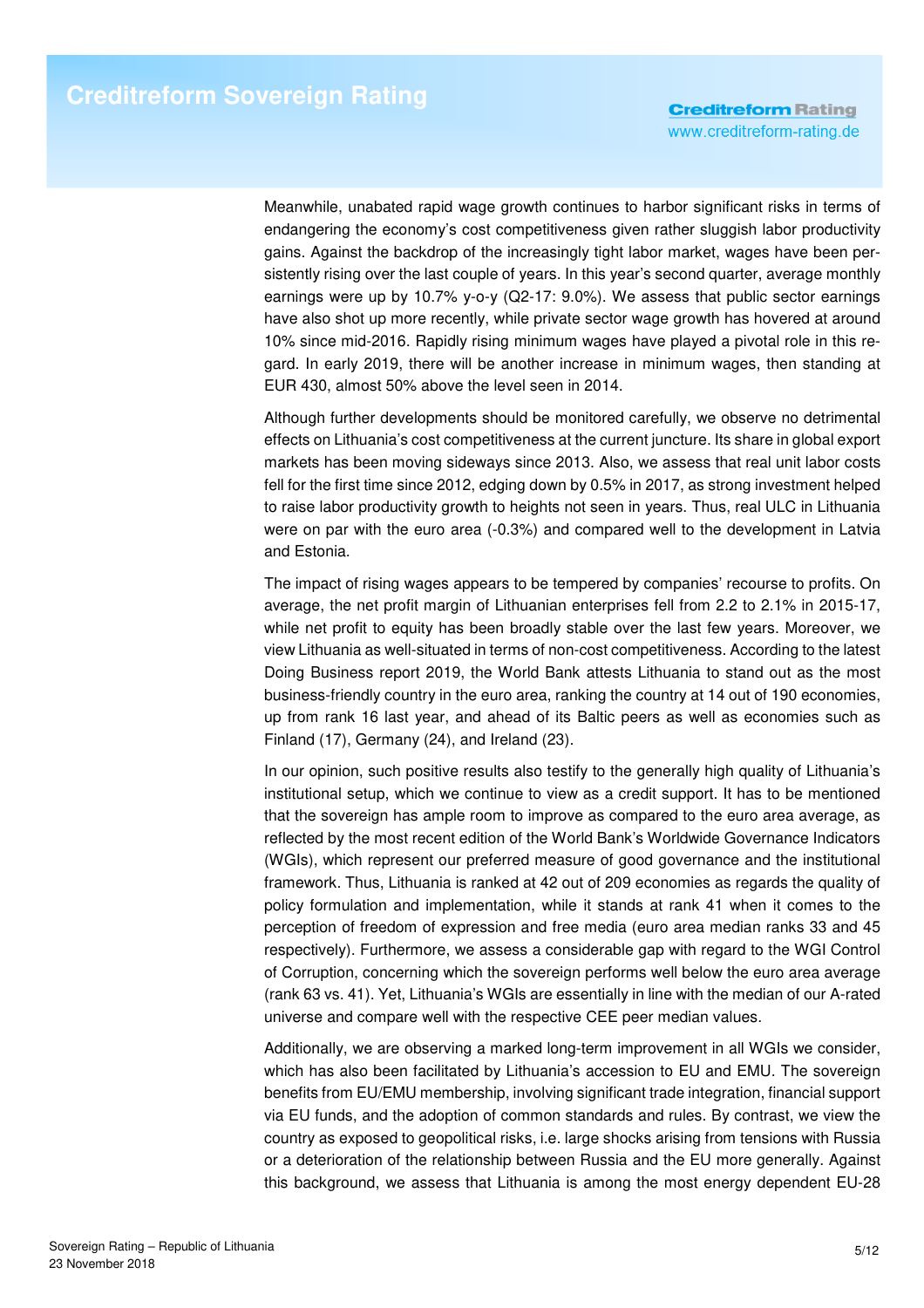Meanwhile, unabated rapid wage growth continues to harbor significant risks in terms of endangering the economy's cost competitiveness given rather sluggish labor productivity gains. Against the backdrop of the increasingly tight labor market, wages have been persistently rising over the last couple of years. In this year's second quarter, average monthly earnings were up by 10.7% y-o-y (Q2-17: 9.0%). We assess that public sector earnings have also shot up more recently, while private sector wage growth has hovered at around 10% since mid-2016. Rapidly rising minimum wages have played a pivotal role in this regard. In early 2019, there will be another increase in minimum wages, then standing at EUR 430, almost 50% above the level seen in 2014.

Although further developments should be monitored carefully, we observe no detrimental effects on Lithuania's cost competitiveness at the current juncture. Its share in global export markets has been moving sideways since 2013. Also, we assess that real unit labor costs fell for the first time since 2012, edging down by 0.5% in 2017, as strong investment helped to raise labor productivity growth to heights not seen in years. Thus, real ULC in Lithuania were on par with the euro area (-0.3%) and compared well to the development in Latvia and Estonia.

The impact of rising wages appears to be tempered by companies' recourse to profits. On average, the net profit margin of Lithuanian enterprises fell from 2.2 to 2.1% in 2015-17, while net profit to equity has been broadly stable over the last few years. Moreover, we view Lithuania as well-situated in terms of non-cost competitiveness. According to the latest Doing Business report 2019, the World Bank attests Lithuania to stand out as the most business-friendly country in the euro area, ranking the country at 14 out of 190 economies, up from rank 16 last year, and ahead of its Baltic peers as well as economies such as Finland (17), Germany (24), and Ireland (23).

In our opinion, such positive results also testify to the generally high quality of Lithuania's institutional setup, which we continue to view as a credit support. It has to be mentioned that the sovereign has ample room to improve as compared to the euro area average, as reflected by the most recent edition of the World Bank's Worldwide Governance Indicators (WGIs), which represent our preferred measure of good governance and the institutional framework. Thus, Lithuania is ranked at 42 out of 209 economies as regards the quality of policy formulation and implementation, while it stands at rank 41 when it comes to the perception of freedom of expression and free media (euro area median ranks 33 and 45 respectively). Furthermore, we assess a considerable gap with regard to the WGI Control of Corruption, concerning which the sovereign performs well below the euro area average (rank 63 vs. 41). Yet, Lithuania's WGIs are essentially in line with the median of our A-rated universe and compare well with the respective CEE peer median values.

Additionally, we are observing a marked long-term improvement in all WGIs we consider, which has also been facilitated by Lithuania's accession to EU and EMU. The sovereign benefits from EU/EMU membership, involving significant trade integration, financial support via EU funds, and the adoption of common standards and rules. By contrast, we view the country as exposed to geopolitical risks, i.e. large shocks arising from tensions with Russia or a deterioration of the relationship between Russia and the EU more generally. Against this background, we assess that Lithuania is among the most energy dependent EU-28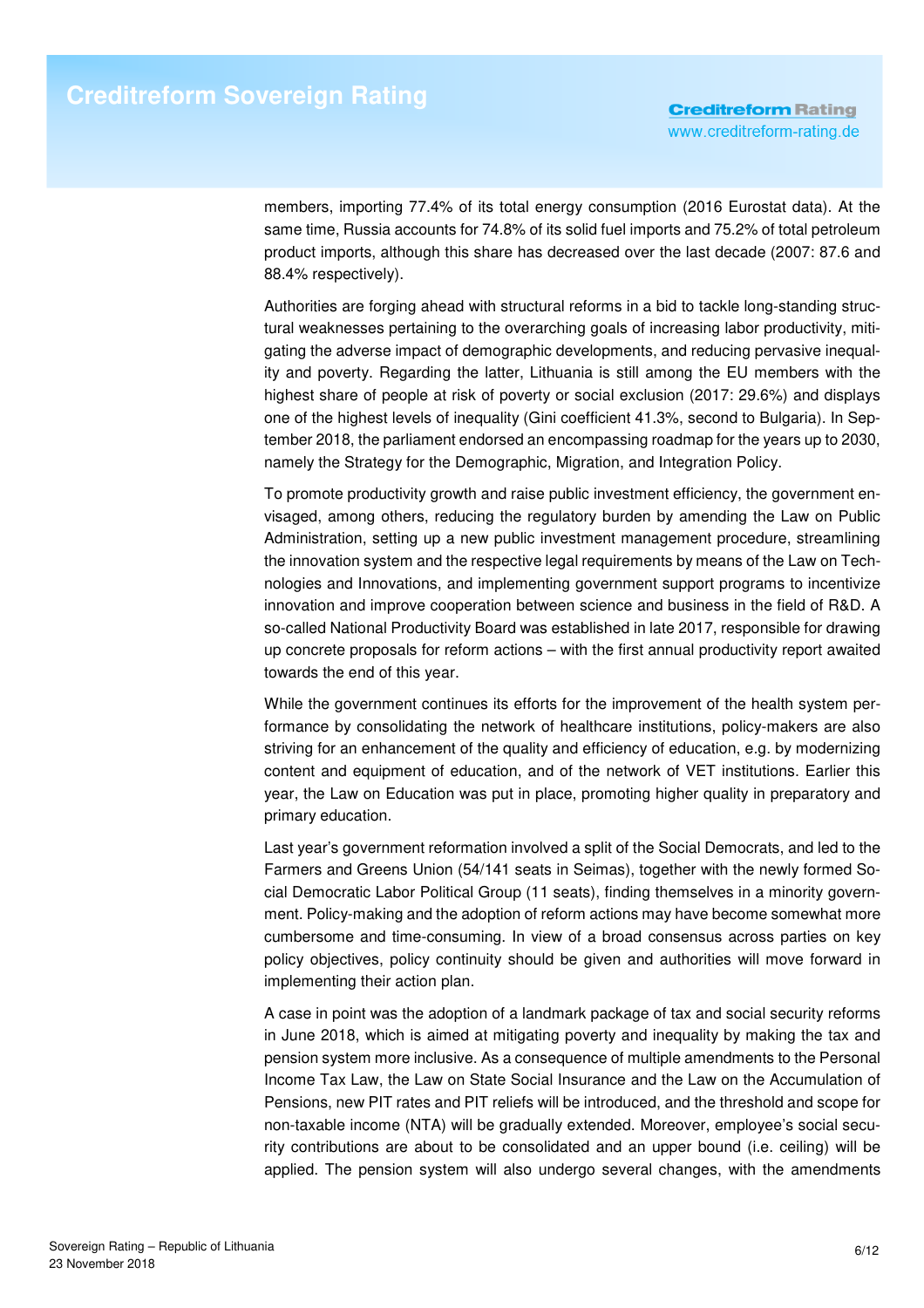members, importing 77.4% of its total energy consumption (2016 Eurostat data). At the same time, Russia accounts for 74.8% of its solid fuel imports and 75.2% of total petroleum product imports, although this share has decreased over the last decade (2007: 87.6 and 88.4% respectively).

Authorities are forging ahead with structural reforms in a bid to tackle long-standing structural weaknesses pertaining to the overarching goals of increasing labor productivity, mitigating the adverse impact of demographic developments, and reducing pervasive inequality and poverty. Regarding the latter, Lithuania is still among the EU members with the highest share of people at risk of poverty or social exclusion (2017: 29.6%) and displays one of the highest levels of inequality (Gini coefficient 41.3%, second to Bulgaria). In September 2018, the parliament endorsed an encompassing roadmap for the years up to 2030, namely the Strategy for the Demographic, Migration, and Integration Policy.

To promote productivity growth and raise public investment efficiency, the government envisaged, among others, reducing the regulatory burden by amending the Law on Public Administration, setting up a new public investment management procedure, streamlining the innovation system and the respective legal requirements by means of the Law on Technologies and Innovations, and implementing government support programs to incentivize innovation and improve cooperation between science and business in the field of R&D. A so-called National Productivity Board was established in late 2017, responsible for drawing up concrete proposals for reform actions – with the first annual productivity report awaited towards the end of this year.

While the government continues its efforts for the improvement of the health system performance by consolidating the network of healthcare institutions, policy-makers are also striving for an enhancement of the quality and efficiency of education, e.g. by modernizing content and equipment of education, and of the network of VET institutions. Earlier this year, the Law on Education was put in place, promoting higher quality in preparatory and primary education.

Last year's government reformation involved a split of the Social Democrats, and led to the Farmers and Greens Union (54/141 seats in Seimas), together with the newly formed Social Democratic Labor Political Group (11 seats), finding themselves in a minority government. Policy-making and the adoption of reform actions may have become somewhat more cumbersome and time-consuming. In view of a broad consensus across parties on key policy objectives, policy continuity should be given and authorities will move forward in implementing their action plan.

A case in point was the adoption of a landmark package of tax and social security reforms in June 2018, which is aimed at mitigating poverty and inequality by making the tax and pension system more inclusive. As a consequence of multiple amendments to the Personal Income Tax Law, the Law on State Social Insurance and the Law on the Accumulation of Pensions, new PIT rates and PIT reliefs will be introduced, and the threshold and scope for non-taxable income (NTA) will be gradually extended. Moreover, employee's social security contributions are about to be consolidated and an upper bound (i.e. ceiling) will be applied. The pension system will also undergo several changes, with the amendments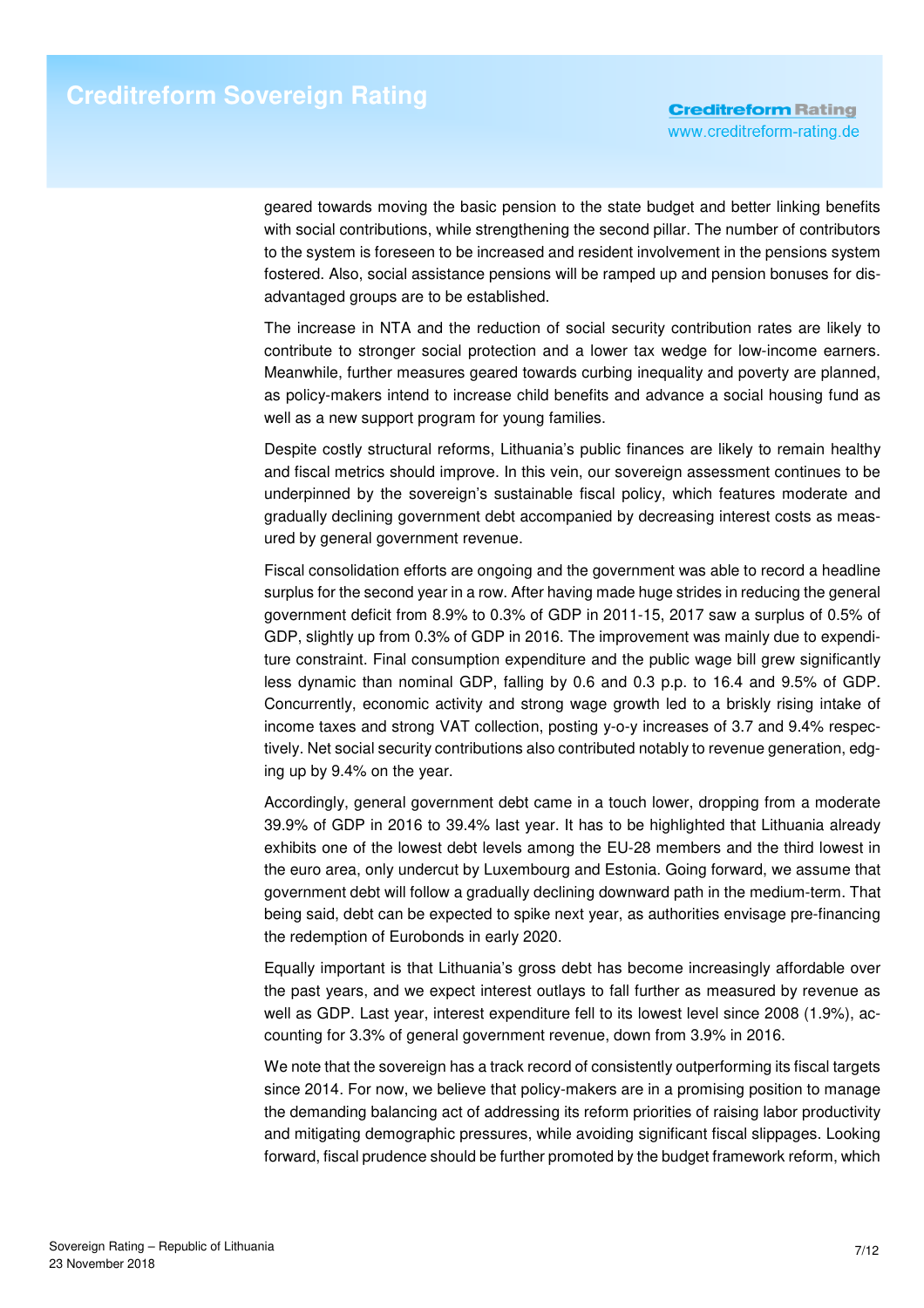geared towards moving the basic pension to the state budget and better linking benefits with social contributions, while strengthening the second pillar. The number of contributors to the system is foreseen to be increased and resident involvement in the pensions system fostered. Also, social assistance pensions will be ramped up and pension bonuses for disadvantaged groups are to be established.

The increase in NTA and the reduction of social security contribution rates are likely to contribute to stronger social protection and a lower tax wedge for low-income earners. Meanwhile, further measures geared towards curbing inequality and poverty are planned, as policy-makers intend to increase child benefits and advance a social housing fund as well as a new support program for young families.

Despite costly structural reforms, Lithuania's public finances are likely to remain healthy and fiscal metrics should improve. In this vein, our sovereign assessment continues to be underpinned by the sovereign's sustainable fiscal policy, which features moderate and gradually declining government debt accompanied by decreasing interest costs as measured by general government revenue.

Fiscal consolidation efforts are ongoing and the government was able to record a headline surplus for the second year in a row. After having made huge strides in reducing the general government deficit from 8.9% to 0.3% of GDP in 2011-15, 2017 saw a surplus of 0.5% of GDP, slightly up from 0.3% of GDP in 2016. The improvement was mainly due to expenditure constraint. Final consumption expenditure and the public wage bill grew significantly less dynamic than nominal GDP, falling by 0.6 and 0.3 p.p. to 16.4 and 9.5% of GDP. Concurrently, economic activity and strong wage growth led to a briskly rising intake of income taxes and strong VAT collection, posting y-o-y increases of 3.7 and 9.4% respectively. Net social security contributions also contributed notably to revenue generation, edging up by 9.4% on the year.

Accordingly, general government debt came in a touch lower, dropping from a moderate 39.9% of GDP in 2016 to 39.4% last year. It has to be highlighted that Lithuania already exhibits one of the lowest debt levels among the EU-28 members and the third lowest in the euro area, only undercut by Luxembourg and Estonia. Going forward, we assume that government debt will follow a gradually declining downward path in the medium-term. That being said, debt can be expected to spike next year, as authorities envisage pre-financing the redemption of Eurobonds in early 2020.

Equally important is that Lithuania's gross debt has become increasingly affordable over the past years, and we expect interest outlays to fall further as measured by revenue as well as GDP. Last year, interest expenditure fell to its lowest level since 2008 (1.9%), accounting for 3.3% of general government revenue, down from 3.9% in 2016.

We note that the sovereign has a track record of consistently outperforming its fiscal targets since 2014. For now, we believe that policy-makers are in a promising position to manage the demanding balancing act of addressing its reform priorities of raising labor productivity and mitigating demographic pressures, while avoiding significant fiscal slippages. Looking forward, fiscal prudence should be further promoted by the budget framework reform, which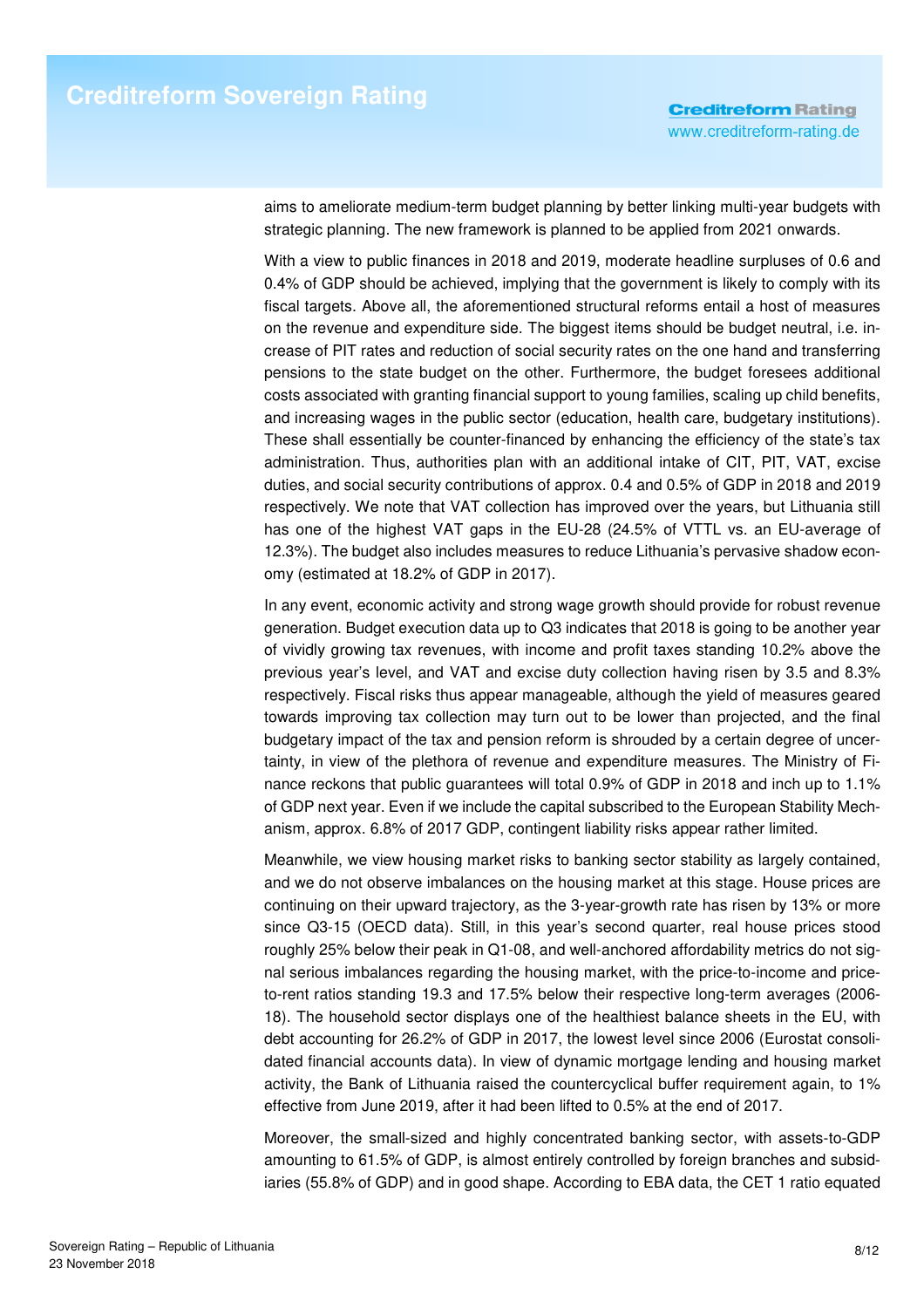aims to ameliorate medium-term budget planning by better linking multi-year budgets with strategic planning. The new framework is planned to be applied from 2021 onwards.

With a view to public finances in 2018 and 2019, moderate headline surpluses of 0.6 and 0.4% of GDP should be achieved, implying that the government is likely to comply with its fiscal targets. Above all, the aforementioned structural reforms entail a host of measures on the revenue and expenditure side. The biggest items should be budget neutral, i.e. increase of PIT rates and reduction of social security rates on the one hand and transferring pensions to the state budget on the other. Furthermore, the budget foresees additional costs associated with granting financial support to young families, scaling up child benefits, and increasing wages in the public sector (education, health care, budgetary institutions). These shall essentially be counter-financed by enhancing the efficiency of the state's tax administration. Thus, authorities plan with an additional intake of CIT, PIT, VAT, excise duties, and social security contributions of approx. 0.4 and 0.5% of GDP in 2018 and 2019 respectively. We note that VAT collection has improved over the years, but Lithuania still has one of the highest VAT gaps in the EU-28 (24.5% of VTTL vs. an EU-average of 12.3%). The budget also includes measures to reduce Lithuania's pervasive shadow economy (estimated at 18.2% of GDP in 2017).

In any event, economic activity and strong wage growth should provide for robust revenue generation. Budget execution data up to Q3 indicates that 2018 is going to be another year of vividly growing tax revenues, with income and profit taxes standing 10.2% above the previous year's level, and VAT and excise duty collection having risen by 3.5 and 8.3% respectively. Fiscal risks thus appear manageable, although the yield of measures geared towards improving tax collection may turn out to be lower than projected, and the final budgetary impact of the tax and pension reform is shrouded by a certain degree of uncertainty, in view of the plethora of revenue and expenditure measures. The Ministry of Finance reckons that public guarantees will total 0.9% of GDP in 2018 and inch up to 1.1% of GDP next year. Even if we include the capital subscribed to the European Stability Mechanism, approx. 6.8% of 2017 GDP, contingent liability risks appear rather limited.

Meanwhile, we view housing market risks to banking sector stability as largely contained, and we do not observe imbalances on the housing market at this stage. House prices are continuing on their upward trajectory, as the 3-year-growth rate has risen by 13% or more since Q3-15 (OECD data). Still, in this year's second quarter, real house prices stood roughly 25% below their peak in Q1-08, and well-anchored affordability metrics do not signal serious imbalances regarding the housing market, with the price-to-income and priceto-rent ratios standing 19.3 and 17.5% below their respective long-term averages (2006- 18). The household sector displays one of the healthiest balance sheets in the EU, with debt accounting for 26.2% of GDP in 2017, the lowest level since 2006 (Eurostat consolidated financial accounts data). In view of dynamic mortgage lending and housing market activity, the Bank of Lithuania raised the countercyclical buffer requirement again, to 1% effective from June 2019, after it had been lifted to 0.5% at the end of 2017.

Moreover, the small-sized and highly concentrated banking sector, with assets-to-GDP amounting to 61.5% of GDP, is almost entirely controlled by foreign branches and subsidiaries (55.8% of GDP) and in good shape. According to EBA data, the CET 1 ratio equated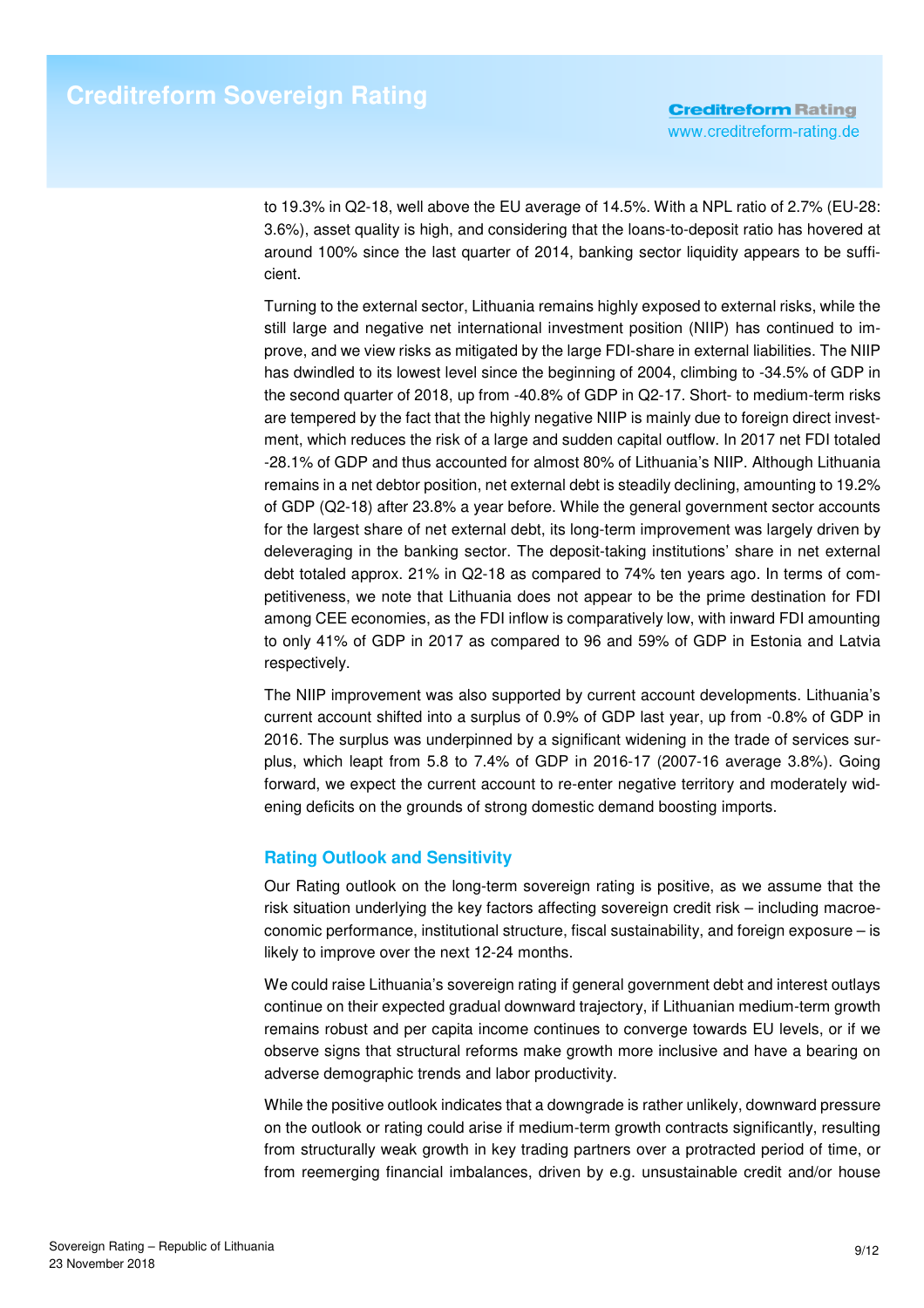to 19.3% in Q2-18, well above the EU average of 14.5%. With a NPL ratio of 2.7% (EU-28: 3.6%), asset quality is high, and considering that the loans-to-deposit ratio has hovered at around 100% since the last quarter of 2014, banking sector liquidity appears to be sufficient.

Turning to the external sector, Lithuania remains highly exposed to external risks, while the still large and negative net international investment position (NIIP) has continued to improve, and we view risks as mitigated by the large FDI-share in external liabilities. The NIIP has dwindled to its lowest level since the beginning of 2004, climbing to -34.5% of GDP in the second quarter of 2018, up from -40.8% of GDP in Q2-17. Short- to medium-term risks are tempered by the fact that the highly negative NIIP is mainly due to foreign direct investment, which reduces the risk of a large and sudden capital outflow. In 2017 net FDI totaled -28.1% of GDP and thus accounted for almost 80% of Lithuania's NIIP. Although Lithuania remains in a net debtor position, net external debt is steadily declining, amounting to 19.2% of GDP (Q2-18) after 23.8% a year before. While the general government sector accounts for the largest share of net external debt, its long-term improvement was largely driven by deleveraging in the banking sector. The deposit-taking institutions' share in net external debt totaled approx. 21% in Q2-18 as compared to 74% ten years ago. In terms of competitiveness, we note that Lithuania does not appear to be the prime destination for FDI among CEE economies, as the FDI inflow is comparatively low, with inward FDI amounting to only 41% of GDP in 2017 as compared to 96 and 59% of GDP in Estonia and Latvia respectively.

The NIIP improvement was also supported by current account developments. Lithuania's current account shifted into a surplus of 0.9% of GDP last year, up from -0.8% of GDP in 2016. The surplus was underpinned by a significant widening in the trade of services surplus, which leapt from 5.8 to 7.4% of GDP in 2016-17 (2007-16 average 3.8%). Going forward, we expect the current account to re-enter negative territory and moderately widening deficits on the grounds of strong domestic demand boosting imports.

# **Rating Outlook and Sensitivity**

Our Rating outlook on the long-term sovereign rating is positive, as we assume that the risk situation underlying the key factors affecting sovereign credit risk – including macroeconomic performance, institutional structure, fiscal sustainability, and foreign exposure – is likely to improve over the next 12-24 months.

We could raise Lithuania's sovereign rating if general government debt and interest outlays continue on their expected gradual downward trajectory, if Lithuanian medium-term growth remains robust and per capita income continues to converge towards EU levels, or if we observe signs that structural reforms make growth more inclusive and have a bearing on adverse demographic trends and labor productivity.

While the positive outlook indicates that a downgrade is rather unlikely, downward pressure on the outlook or rating could arise if medium-term growth contracts significantly, resulting from structurally weak growth in key trading partners over a protracted period of time, or from reemerging financial imbalances, driven by e.g. unsustainable credit and/or house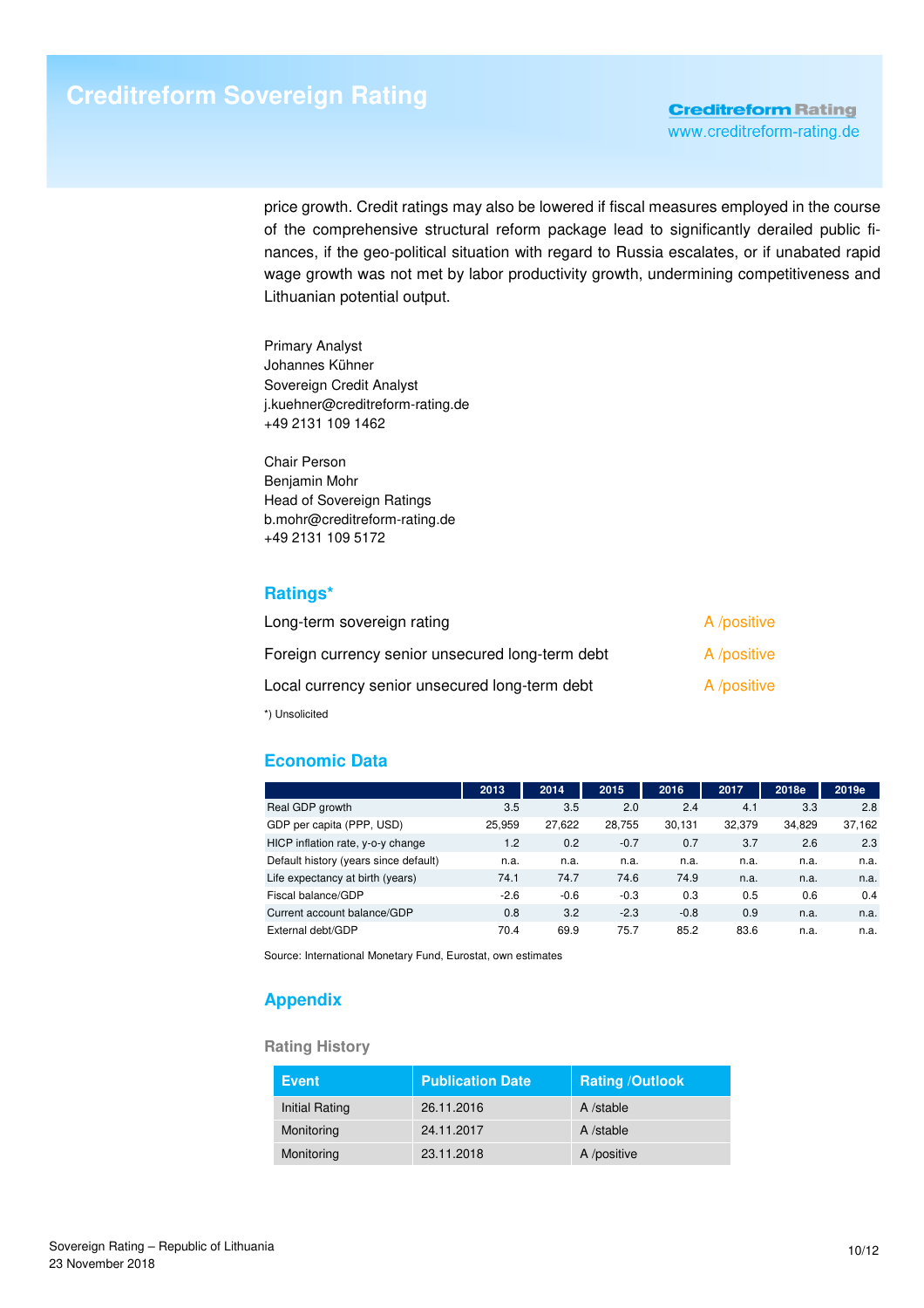price growth. Credit ratings may also be lowered if fiscal measures employed in the course of the comprehensive structural reform package lead to significantly derailed public finances, if the geo-political situation with regard to Russia escalates, or if unabated rapid wage growth was not met by labor productivity growth, undermining competitiveness and Lithuanian potential output.

Primary Analyst Johannes Kühner Sovereign Credit Analyst j.kuehner@creditreform-rating.de +49 2131 109 1462

Chair Person Benjamin Mohr Head of Sovereign Ratings b.mohr@creditreform-rating.de +49 2131 109 5172

## **Ratings\***

| Long-term sovereign rating                       | A /positive |
|--------------------------------------------------|-------------|
| Foreign currency senior unsecured long-term debt | A /positive |
| Local currency senior unsecured long-term debt   | A /positive |
| *) Unsolicited                                   |             |

# **Economic Data**

|                                       | 2013   | 2014   | 2015   | 2016   | 2017   | 2018e  | 2019e  |
|---------------------------------------|--------|--------|--------|--------|--------|--------|--------|
| Real GDP growth                       | 3.5    | 3.5    | 2.0    | 2.4    | 4.1    | 3.3    | 2.8    |
| GDP per capita (PPP, USD)             | 25.959 | 27,622 | 28.755 | 30.131 | 32.379 | 34.829 | 37,162 |
| HICP inflation rate, y-o-y change     | 1.2    | 0.2    | $-0.7$ | 0.7    | 3.7    | 2.6    | 2.3    |
| Default history (years since default) | n.a.   | n.a.   | n.a.   | n.a.   | n.a.   | n.a.   | n.a.   |
| Life expectancy at birth (years)      | 74.1   | 74.7   | 74.6   | 74.9   | n.a.   | n.a.   | n.a.   |
| Fiscal balance/GDP                    | $-2.6$ | $-0.6$ | $-0.3$ | 0.3    | 0.5    | 0.6    | 0.4    |
| Current account balance/GDP           | 0.8    | 3.2    | $-2.3$ | $-0.8$ | 0.9    | n.a.   | n.a.   |
| External debt/GDP                     | 70.4   | 69.9   | 75.7   | 85.2   | 83.6   | n.a.   | n.a.   |

Source: International Monetary Fund, Eurostat, own estimates

# **Appendix**

#### **Rating History**

| <b>Event</b>          | <b>Publication Date</b> | <b>Rating /Outlook</b> |
|-----------------------|-------------------------|------------------------|
| <b>Initial Rating</b> | 26.11.2016              | A /stable              |
| Monitoring            | 24.11.2017              | A /stable              |
| Monitoring            | 23.11.2018              | A /positive            |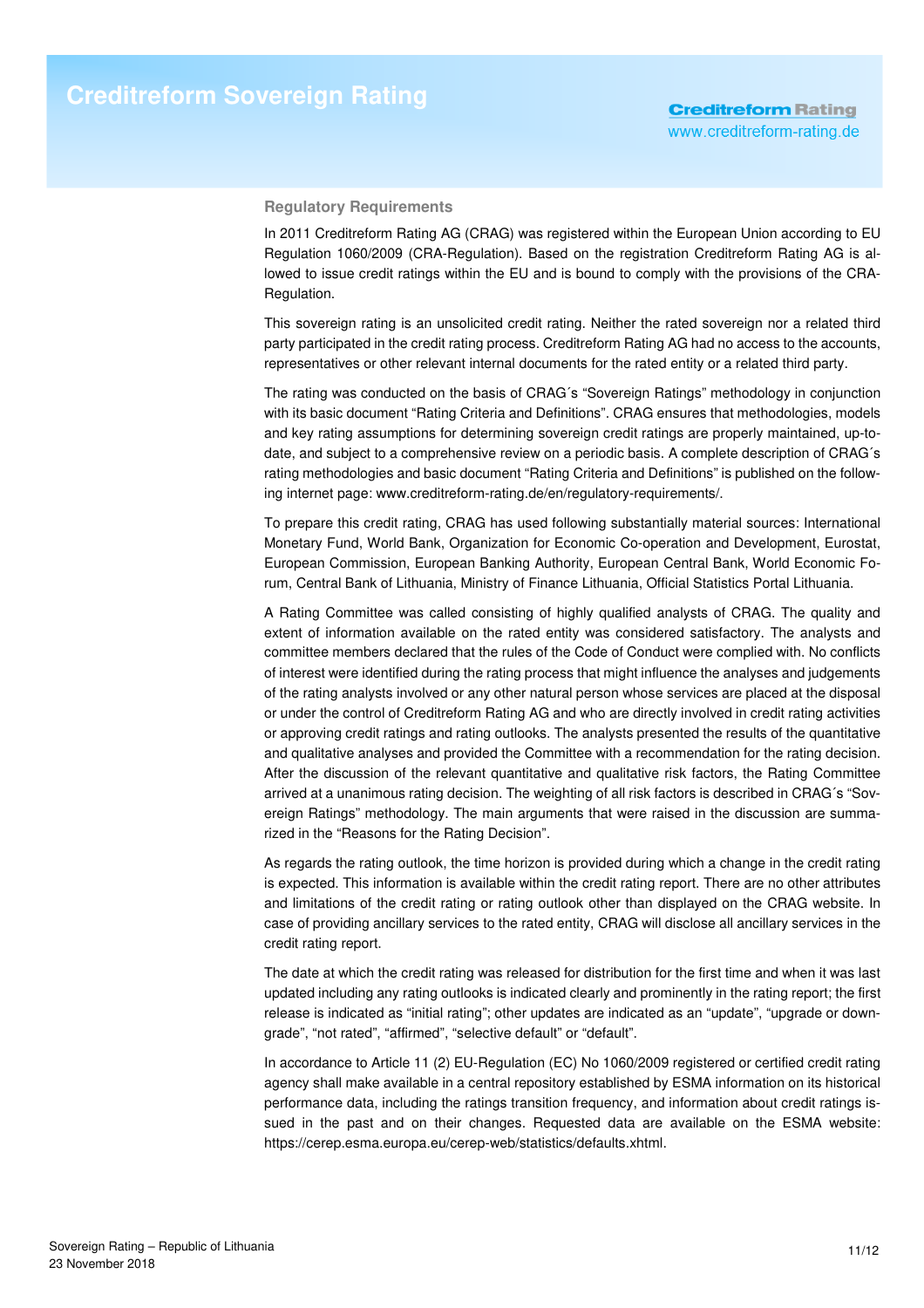#### **Regulatory Requirements**

In 2011 Creditreform Rating AG (CRAG) was registered within the European Union according to EU Regulation 1060/2009 (CRA-Regulation). Based on the registration Creditreform Rating AG is allowed to issue credit ratings within the EU and is bound to comply with the provisions of the CRA-Regulation.

This sovereign rating is an unsolicited credit rating. Neither the rated sovereign nor a related third party participated in the credit rating process. Creditreform Rating AG had no access to the accounts, representatives or other relevant internal documents for the rated entity or a related third party.

The rating was conducted on the basis of CRAG´s "Sovereign Ratings" methodology in conjunction with its basic document "Rating Criteria and Definitions". CRAG ensures that methodologies, models and key rating assumptions for determining sovereign credit ratings are properly maintained, up-todate, and subject to a comprehensive review on a periodic basis. A complete description of CRAG´s rating methodologies and basic document "Rating Criteria and Definitions" is published on the following internet page: www.creditreform-rating.de/en/regulatory-requirements/.

To prepare this credit rating, CRAG has used following substantially material sources: International Monetary Fund, World Bank, Organization for Economic Co-operation and Development, Eurostat, European Commission, European Banking Authority, European Central Bank, World Economic Forum, Central Bank of Lithuania, Ministry of Finance Lithuania, Official Statistics Portal Lithuania.

A Rating Committee was called consisting of highly qualified analysts of CRAG. The quality and extent of information available on the rated entity was considered satisfactory. The analysts and committee members declared that the rules of the Code of Conduct were complied with. No conflicts of interest were identified during the rating process that might influence the analyses and judgements of the rating analysts involved or any other natural person whose services are placed at the disposal or under the control of Creditreform Rating AG and who are directly involved in credit rating activities or approving credit ratings and rating outlooks. The analysts presented the results of the quantitative and qualitative analyses and provided the Committee with a recommendation for the rating decision. After the discussion of the relevant quantitative and qualitative risk factors, the Rating Committee arrived at a unanimous rating decision. The weighting of all risk factors is described in CRAG´s "Sovereign Ratings" methodology. The main arguments that were raised in the discussion are summarized in the "Reasons for the Rating Decision".

As regards the rating outlook, the time horizon is provided during which a change in the credit rating is expected. This information is available within the credit rating report. There are no other attributes and limitations of the credit rating or rating outlook other than displayed on the CRAG website. In case of providing ancillary services to the rated entity, CRAG will disclose all ancillary services in the credit rating report.

The date at which the credit rating was released for distribution for the first time and when it was last updated including any rating outlooks is indicated clearly and prominently in the rating report; the first release is indicated as "initial rating"; other updates are indicated as an "update", "upgrade or downgrade", "not rated", "affirmed", "selective default" or "default".

In accordance to Article 11 (2) EU-Regulation (EC) No 1060/2009 registered or certified credit rating agency shall make available in a central repository established by ESMA information on its historical performance data, including the ratings transition frequency, and information about credit ratings issued in the past and on their changes. Requested data are available on the ESMA website: https://cerep.esma.europa.eu/cerep-web/statistics/defaults.xhtml.